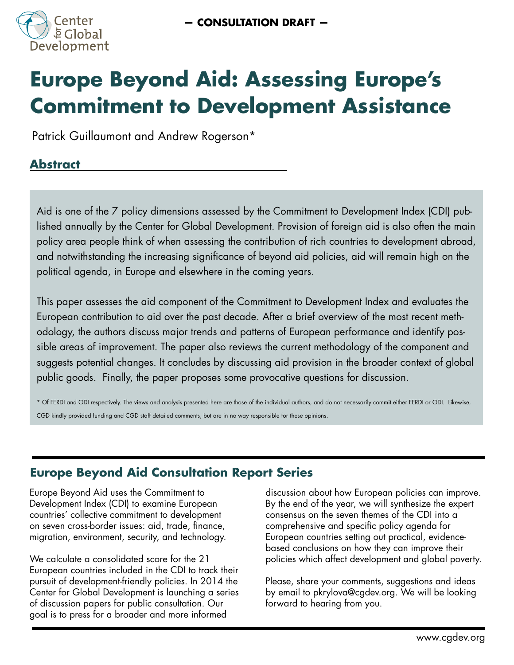

# **Europe Beyond Aid: Assessing Europe's Commitment to Development Assistance**

Patrick Guillaumont and Andrew Rogerson\*

# **Abstract**

Aid is one of the 7 policy dimensions assessed by the Commitment to Development Index (CDI) published annually by the Center for Global Development. Provision of foreign aid is also often the main policy area people think of when assessing the contribution of rich countries to development abroad, and notwithstanding the increasing significance of beyond aid policies, aid will remain high on the political agenda, in Europe and elsewhere in the coming years.

This paper assesses the aid component of the Commitment to Development Index and evaluates the European contribution to aid over the past decade. After a brief overview of the most recent methodology, the authors discuss major trends and patterns of European performance and identify possible areas of improvement. The paper also reviews the current methodology of the component and suggests potential changes. It concludes by discussing aid provision in the broader context of global public goods. Finally, the paper proposes some provocative questions for discussion.

\* Of FERDI and ODI respectively. The views and analysis presented here are those of the individual authors, and do not necessarily commit either FERDI or ODI. Likewise, CGD kindly provided funding and CGD staff detailed comments, but are in no way responsible for these opinions.

# **Europe Beyond Aid Consultation Report Series**

Europe Beyond Aid uses the Commitment to Development Index (CDI) to examine European countries' collective commitment to development on seven cross-border issues: aid, trade, finance, migration, environment, security, and technology.

We calculate a consolidated score for the 21 European countries included in the CDI to track their pursuit of development-friendly policies. In 2014 the Center for Global Development is launching a series of discussion papers for public consultation. Our goal is to press for a broader and more informed

discussion about how European policies can improve. By the end of the year, we will synthesize the expert consensus on the seven themes of the CDI into a comprehensive and specific policy agenda for European countries setting out practical, evidencebased conclusions on how they can improve their policies which affect development and global poverty.

Please, share your comments, suggestions and ideas by email to pkrylova@cgdev.org. We will be looking forward to hearing from you.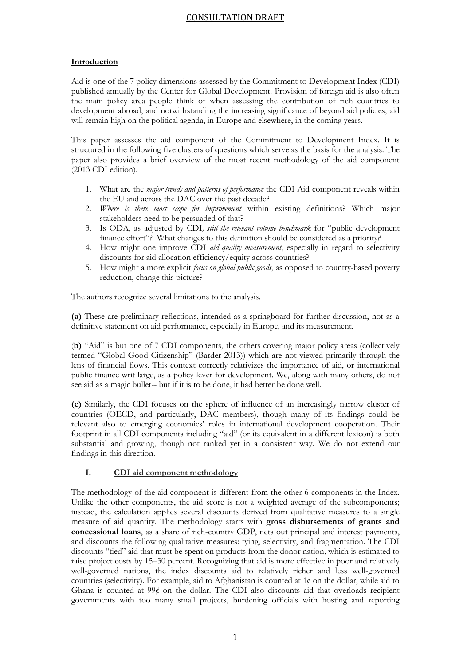# **Introduction**

Aid is one of the 7 policy dimensions assessed by the Commitment to Development Index (CDI) published annually by the Center for Global Development. Provision of foreign aid is also often the main policy area people think of when assessing the contribution of rich countries to development abroad, and notwithstanding the increasing significance of beyond aid policies, aid will remain high on the political agenda, in Europe and elsewhere, in the coming years.

This paper assesses the aid component of the Commitment to Development Index. It is structured in the following five clusters of questions which serve as the basis for the analysis. The paper also provides a brief overview of the most recent methodology of the aid component  $(2013 \text{ CDI edition}).$ 

- 1. What are the *major trends and patterns of performance* the CDI Aid component reveals within the EU and across the DAC over the past decade?
- 2. *Where is there most scope for improvement* within existing definitions? Which major stakeholders need to be persuaded of that?
- 3. Is ODA, as adjusted by CDI*, still the relevant volume benchmark* for "public development finance effort"? What changes to this definition should be considered as a priority?
- 4. How might one improve CDI *aid quality measurement*, especially in regard to selectivity discounts for aid allocation efficiency/equity across countries?
- 5. How might a more explicit *focus on global public goods*, as opposed to country-based poverty reduction, change this picture?

The authors recognize several limitations to the analysis.

**(a)** These are preliminary reflections, intended as a springboard for further discussion, not as a definitive statement on aid performance, especially in Europe, and its measurement.

(**b)** "Aid" is but one of 7 CDI components, the others covering major policy areas (collectively termed "Global Good Citizenship" (Barder 2013)) which are not viewed primarily through the lens of financial flows. This context correctly relativizes the importance of aid, or international public finance writ large, as a policy lever for development. We, along with many others, do not see aid as a magic bullet-- but if it is to be done, it had better be done well.

**(c)** Similarly, the CDI focuses on the sphere of influence of an increasingly narrow cluster of countries (OECD, and particularly, DAC members), though many of its findings could be relevant also to emerging economies' roles in international development cooperation. Their footprint in all CDI components including "aid" (or its equivalent in a different lexicon) is both substantial and growing, though not ranked yet in a consistent way. We do not extend our findings in this direction.

#### **I. CDI aid component methodology**

The methodology of the aid component is different from the other 6 components in the Index. Unlike the other components, the aid score is not a weighted average of the subcomponents; instead, the calculation applies several discounts derived from qualitative measures to a single measure of aid quantity. The methodology starts with **gross disbursements of grants and concessional loans**, as a share of rich-country GDP, nets out principal and interest payments, and discounts the following qualitative measures: tying, selectivity, and fragmentation. The CDI discounts "tied" aid that must be spent on products from the donor nation, which is estimated to raise project costs by 15–30 percent. Recognizing that aid is more effective in poor and relatively well-governed nations, the index discounts aid to relatively richer and less well-governed countries (selectivity). For example, aid to Afghanistan is counted at 1¢ on the dollar, while aid to Ghana is counted at 99¢ on the dollar. The CDI also discounts aid that overloads recipient governments with too many small projects, burdening officials with hosting and reporting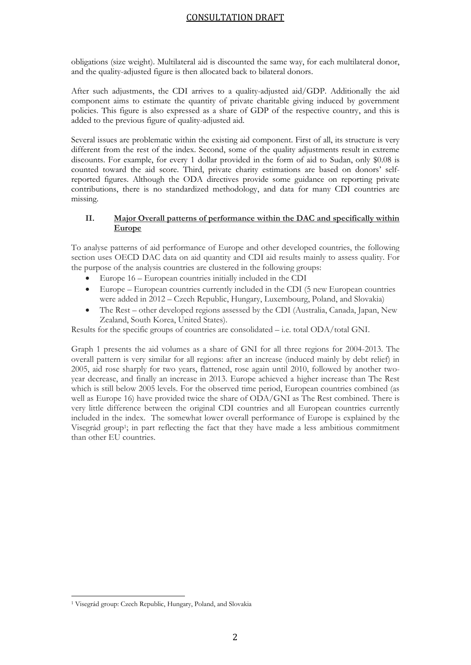obligations (size weight). Multilateral aid is discounted the same way, for each multilateral donor, and the quality-adjusted figure is then allocated back to bilateral donors.

After such adjustments, the CDI arrives to a quality-adjusted aid/GDP. Additionally the aid component aims to estimate the quantity of private charitable giving induced by government policies. This figure is also expressed as a share of GDP of the respective country, and this is added to the previous figure of quality-adjusted aid.

Several issues are problematic within the existing aid component. First of all, its structure is very different from the rest of the index. Second, some of the quality adjustments result in extreme discounts. For example, for every 1 dollar provided in the form of aid to Sudan, only \$0.08 is counted toward the aid score. Third, private charity estimations are based on donors' selfreported figures. Although the ODA directives provide some guidance on reporting private contributions, there is no standardized methodology, and data for many CDI countries are missing.

#### **II. Major Overall patterns of performance within the DAC and specifically within Europe**

To analyse patterns of aid performance of Europe and other developed countries, the following section uses OECD DAC data on aid quantity and CDI aid results mainly to assess quality. For the purpose of the analysis countries are clustered in the following groups:

- Europe 16 European countries initially included in the CDI
- Europe European countries currently included in the CDI (5 new European countries were added in 2012 – Czech Republic, Hungary, Luxembourg, Poland, and Slovakia)
- The Rest other developed regions assessed by the CDI (Australia, Canada, Japan, New Zealand, South Korea, United States).

Results for the specific groups of countries are consolidated – i.e. total ODA/total GNI.

Graph 1 presents the aid volumes as a share of GNI for all three regions for 2004-2013. The overall pattern is very similar for all regions: after an increase (induced mainly by debt relief) in 2005, aid rose sharply for two years, flattened, rose again until 2010, followed by another twoyear decrease, and finally an increase in 2013. Europe achieved a higher increase than The Rest which is still below 2005 levels. For the observed time period, European countries combined (as well as Europe 16) have provided twice the share of ODA/GNI as The Rest combined. There is very little difference between the original CDI countries and all European countries currently included in the index. The somewhat lower overall performance of Europe is explained by the Visegrád group<sup>1</sup>; in part reflecting the fact that they have made a less ambitious commitment than other EU countries.

 $\overline{\phantom{a}}$ 

<sup>1</sup> Visegrád group: Czech Republic, Hungary, Poland, and Slovakia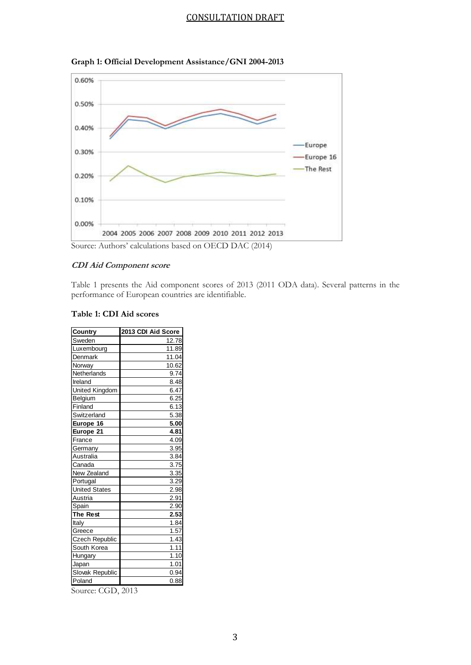



#### **CDI Aid Component score**

Table 1 presents the Aid component scores of 2013 (2011 ODA data). Several patterns in the performance of European countries are identifiable.

|  | Table 1: CDI Aid scores |  |
|--|-------------------------|--|
|--|-------------------------|--|

| <b>Country</b>        | 2013 CDI Aid Score |
|-----------------------|--------------------|
| Sweden                | 12.78              |
| Luxembourg            | 11.89              |
| Denmark               | 11.04              |
| Norway                | 10.62              |
| Netherlands           | 9.74               |
| Ireland               | 8.48               |
| <b>United Kingdom</b> | 6.47               |
| Belgium               | 6.25               |
| Finland               | 6.13               |
| Switzerland           | 5.38               |
| Europe 16             | 5.00               |
| Europe 21             | 4.81               |
| France                | 4.09               |
| Germany               | 3.95               |
| Australia             | 3.84               |
| Canada                | 3.75               |
| New Zealand           | 3.35               |
| Portugal              | 3.29               |
| <b>United States</b>  | 2.98               |
| Austria               | 2.91               |
| Spain                 | 2.90               |
| The Rest              | 2.53               |
| Italy                 | 1.84               |
| Greece                | 1.57               |
| <b>Czech Republic</b> | 1.43               |
| South Korea           | 1.11               |
| Hungary               | 1.10               |
| Japan                 | 1.01               |
| Slovak Republic       | 0.94               |
| Poland                | 0.88               |

Source: CGD, 2013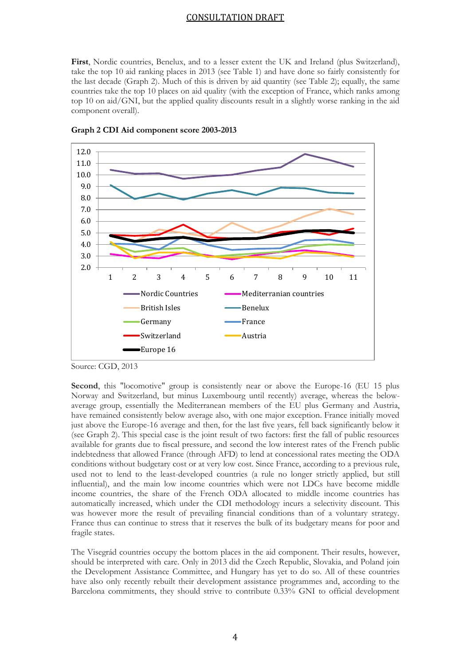First, Nordic countries, Benelux, and to a lesser extent the UK and Ireland (plus Switzerland), take the top 10 aid ranking places in 2013 (see Table 1) and have done so fairly consistently for the last decade (Graph 2). Much of this is driven by aid quantity (see Table 2); equally, the same countries take the top 10 places on aid quality (with the exception of France, which ranks among top 10 on aid/GNI, but the applied quality discounts result in a slightly worse ranking in the aid component overall).



**Graph 2 CDI Aid component score 2003-2013**

Second, this "locomotive" group is consistently near or above the Europe-16 (EU 15 plus Norway and Switzerland, but minus Luxembourg until recently) average, whereas the belowaverage group, essentially the Mediterranean members of the EU plus Germany and Austria, have remained consistently below average also, with one major exception. France initially moved just above the Europe-16 average and then, for the last five years, fell back significantly below it (see Graph 2). This special case is the joint result of two factors: first the fall of public resources available for grants due to fiscal pressure, and second the low interest rates of the French public indebtedness that allowed France (through AFD) to lend at concessional rates meeting the ODA conditions without budgetary cost or at very low cost. Since France, according to a previous rule, used not to lend to the least-developed countries (a rule no longer strictly applied, but still influential), and the main low income countries which were not LDCs have become middle income countries, the share of the French ODA allocated to middle income countries has automatically increased, which under the CDI methodology incurs a selectivity discount. This was however more the result of prevailing financial conditions than of a voluntary strategy. France thus can continue to stress that it reserves the bulk of its budgetary means for poor and fragile states.

The Visegrád countries occupy the bottom places in the aid component. Their results, however, should be interpreted with care. Only in 2013 did the Czech Republic, Slovakia, and Poland join the Development Assistance Committee, and Hungary has yet to do so. All of these countries have also only recently rebuilt their development assistance programmes and, according to the Barcelona commitments, they should strive to contribute 0.33% GNI to official development

Source: CGD, 2013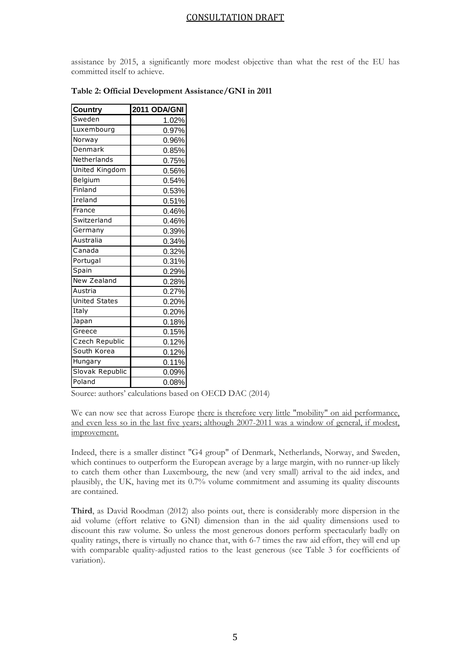assistance by 2015, a significantly more modest objective than what the rest of the EU has committed itself to achieve.

| Country              | 2011 ODA/GNI |
|----------------------|--------------|
| Sweden               | 1.02%        |
| Luxembourg           | 0.97%        |
| Norway               | 0.96%        |
| <b>Denmark</b>       | 0.85%        |
| Netherlands          | 0.75%        |
| United Kingdom       | 0.56%        |
| Belgium              | 0.54%        |
| Finland              | 0.53%        |
| Ireland              | 0.51%        |
| France               | 0.46%        |
| Switzerland          | 0.46%        |
| Germany              | 0.39%        |
| Australia            | 0.34%        |
| Canada               | 0.32%        |
| Portugal             | 0.31%        |
| Spain                | 0.29%        |
| New Zealand          | 0.28%        |
| Austria              | 0.27%        |
| <b>United States</b> | 0.20%        |
| Italy                | 0.20%        |
| Japan                | 0.18%        |
| Greece               | 0.15%        |
| Czech Republic       | 0.12%        |
| South Korea          | 0.12%        |
| Hungary              | 0.11%        |
| Slovak Republic      | 0.09%        |
| Poland               | 0.08%        |

#### **Table 2: Official Development Assistance/GNI in 2011**

Source: authors' calculations based on OECD DAC (2014)

Indeed, there is a smaller distinct "G4 group" of Denmark, Netherlands, Norway, and Sweden, which continues to outperform the European average by a large margin, with no runner-up likely to catch them other than Luxembourg, the new (and very small) arrival to the aid index, and plausibly, the UK, having met its 0.7% volume commitment and assuming its quality discounts are contained.

**Third**, as David Roodman (2012) also points out, there is considerably more dispersion in the aid volume (effort relative to GNI) dimension than in the aid quality dimensions used to discount this raw volume. So unless the most generous donors perform spectacularly badly on quality ratings, there is virtually no chance that, with 6-7 times the raw aid effort, they will end up with comparable quality-adjusted ratios to the least generous (see Table 3 for coefficients of variation).

We can now see that across Europe there is therefore very little "mobility" on aid performance, and even less so in the last five years; although 2007-2011 was a window of general, if modest, improvement.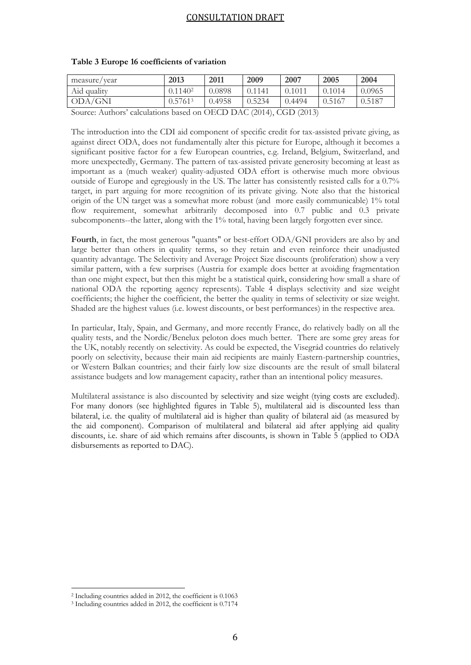| measure/year                                                                                  | 2013    | 2011   | 2009   | 2007   | 2005   | 2004   |
|-----------------------------------------------------------------------------------------------|---------|--------|--------|--------|--------|--------|
| Aid quality                                                                                   | 0.11402 | 0.0898 | 0.1141 | 0.1011 | 0.1014 | 0.0965 |
| ODA/GNI                                                                                       | 0.57613 | 0.4958 | 0.5234 | 0.4494 | 0.5167 | 0.5187 |
| $\mathcal{L}_{\text{out}}$ $\Lambda$ where existing head on $\Omega$ CD DAC (2014) CCD (2012) |         |        |        |        |        |        |

#### **Table 3 Europe 16 coefficients of variation**

Source: Authors' calculations based on OECD DAC (2014), CGD (2013)

The introduction into the CDI aid component of specific credit for tax-assisted private giving, as against direct ODA, does not fundamentally alter this picture for Europe, although it becomes a significant positive factor for a few European countries, e.g. Ireland, Belgium, Switzerland, and more unexpectedly, Germany. The pattern of tax-assisted private generosity becoming at least as important as a (much weaker) quality-adjusted ODA effort is otherwise much more obvious outside of Europe and egregiously in the US. The latter has consistently resisted calls for a 0.7% target, in part arguing for more recognition of its private giving. Note also that the historical origin of the UN target was a somewhat more robust (and more easily communicable) 1% total flow requirement, somewhat arbitrarily decomposed into 0.7 public and 0.3 private subcomponents--the latter, along with the 1% total, having been largely forgotten ever since.

**Fourth**, in fact, the most generous "quants" or best-effort ODA/GNI providers are also by and large better than others in quality terms, so they retain and even reinforce their unadjusted quantity advantage. The Selectivity and Average Project Size discounts (proliferation) show a very similar pattern, with a few surprises (Austria for example does better at avoiding fragmentation than one might expect, but then this might be a statistical quirk, considering how small a share of national ODA the reporting agency represents). Table 4 displays selectivity and size weight coefficients; the higher the coefficient, the better the quality in terms of selectivity or size weight. Shaded are the highest values (i.e. lowest discounts, or best performances) in the respective area.

In particular, Italy, Spain, and Germany, and more recently France, do relatively badly on all the quality tests, and the Nordic/Benelux peloton does much better. There are some grey areas for the UK, notably recently on selectivity. As could be expected, the Visegrád countries do relatively poorly on selectivity, because their main aid recipients are mainly Eastern-partnership countries, or Western Balkan countries; and their fairly low size discounts are the result of small bilateral assistance budgets and low management capacity, rather than an intentional policy measures.

Multilateral assistance is also discounted by selectivity and size weight (tying costs are excluded). For many donors (see highlighted figures in Table 5), multilateral aid is discounted less than bilateral, i.e. the quality of multilateral aid is higher than quality of bilateral aid (as measured by the aid component). Comparison of multilateral and bilateral aid after applying aid quality discounts, i.e. share of aid which remains after discounts, is shown in Table 5 (applied to ODA disbursements as reported to DAC).

 $\overline{\phantom{a}}$ 

<sup>2</sup> Including countries added in 2012, the coefficient is 0.1063

<sup>3</sup> Including countries added in 2012, the coefficient is 0.7174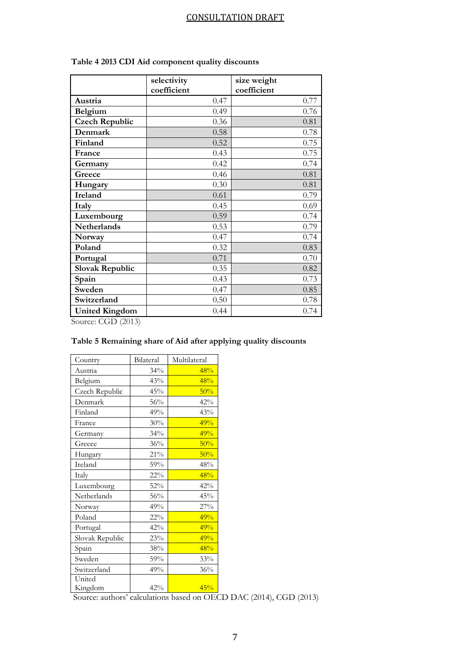|                                           | selectivity | size weight |
|-------------------------------------------|-------------|-------------|
|                                           | coefficient | coefficient |
| Austria                                   | 0.47        | 0.77        |
| Belgium                                   | 0.49        | 0.76        |
| <b>Czech Republic</b>                     | 0.36        | 0.81        |
| Denmark                                   | 0.58        | 0.78        |
| Finland                                   | 0.52        | 0.75        |
| France                                    | 0.43        | 0.75        |
| Germany                                   | 0.42        | 0.74        |
| Greece                                    | 0.46        | 0.81        |
| Hungary                                   | 0.30        | 0.81        |
| <b>Ireland</b>                            | 0.61        | 0.79        |
| Italy                                     | 0.45        | 0.69        |
| Luxembourg                                | 0.59        | 0.74        |
| <b>Netherlands</b>                        | 0.53        | 0.79        |
| Norway                                    | 0.47        | 0.74        |
| Poland                                    | 0.32        | 0.83        |
| Portugal                                  | 0.71        | 0.70        |
| <b>Slovak Republic</b>                    | 0.35        | 0.82        |
| Spain                                     | 0.43        | 0.73        |
| Sweden                                    | 0.47        | 0.85        |
| Switzerland                               | 0.50        | 0.78        |
| <b>United Kingdom</b><br>$C = CCD (2012)$ | 0.44        | 0.74        |

**Table 4 2013 CDI Aid component quality discounts**

Source: CGD (2013)

| Country         | Bilateral | Multilateral |
|-----------------|-----------|--------------|
| Austria         | 34%       | 48%          |
| Belgium         | 43%       | 48%          |
| Czech Republic  | 45%       | 50%          |
| Denmark         | 56%       | 42%          |
| Finland         | 49%       | 43%          |
| France          | 30%       | 49%          |
| Germany         | 34%       | 49%          |
| Greece          | 36%       | 50%          |
| Hungary         | $21\%$    | 50%          |
| Ireland         | 59%       | 48%          |
| Italy           | $22\%$    | 48%          |
| Luxembourg      | 52%       | 42%          |
| Netherlands     | 56%       | 45%          |
| Norway          | 49%       | 27%          |
| Poland          | $22\%$    | 49%          |
| Portugal        | 42%       | 49%          |
| Slovak Republic | 23%       | 49%          |
| Spain           | 38%       | 48%          |
| Sweden          | 59%       | 33%          |
| Switzerland     | 49%       | 36%          |
| United          |           |              |
| Kingdom         | 42%       | 45%          |

# **Table 5 Remaining share of Aid after applying quality discounts**

Source: authors' calculations based on OECD DAC (2014), CGD (2013)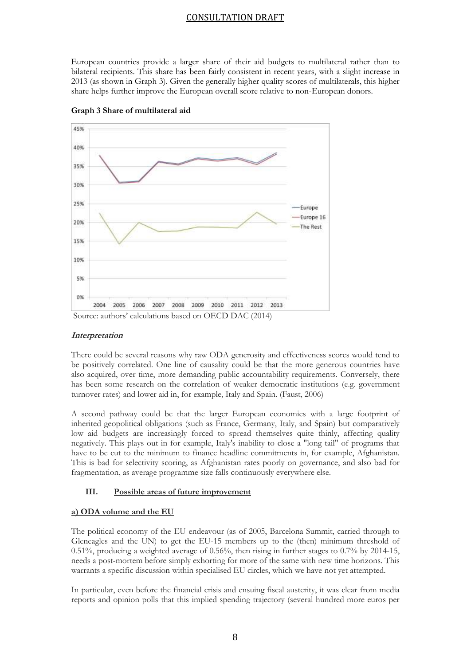European countries provide a larger share of their aid budgets to multilateral rather than to bilateral recipients. This share has been fairly consistent in recent years, with a slight increase in 2013 (as shown in Graph 3). Given the generally higher quality scores of multilaterals, this higher share helps further improve the European overall score relative to non-European donors.



**Graph 3 Share of multilateral aid**

#### **Interpretation**

There could be several reasons why raw ODA generosity and effectiveness scores would tend to be positively correlated. One line of causality could be that the more generous countries have also acquired, over time, more demanding public accountability requirements. Conversely, there has been some research on the correlation of weaker democratic institutions (e.g. government turnover rates) and lower aid in, for example, Italy and Spain. (Faust, 2006)

A second pathway could be that the larger European economies with a large footprint of inherited geopolitical obligations (such as France, Germany, Italy, and Spain) but comparatively low aid budgets are increasingly forced to spread themselves quite thinly, affecting quality negatively. This plays out in for example, Italy's inability to close a "long tail" of programs that have to be cut to the minimum to finance headline commitments in, for example, Afghanistan. This is bad for selectivity scoring, as Afghanistan rates poorly on governance, and also bad for fragmentation, as average programme size falls continuously everywhere else.

#### **III. Possible areas of future improvement**

#### **a) ODA volume and the EU**

The political economy of the EU endeavour (as of 2005, Barcelona Summit, carried through to Gleneagles and the UN) to get the EU-15 members up to the (then) minimum threshold of 0.51%, producing a weighted average of 0.56%, then rising in further stages to 0.7% by 2014-15, needs a post-mortem before simply exhorting for more of the same with new time horizons. This warrants a specific discussion within specialised EU circles, which we have not yet attempted.

In particular, even before the financial crisis and ensuing fiscal austerity, it was clear from media reports and opinion polls that this implied spending trajectory (several hundred more euros per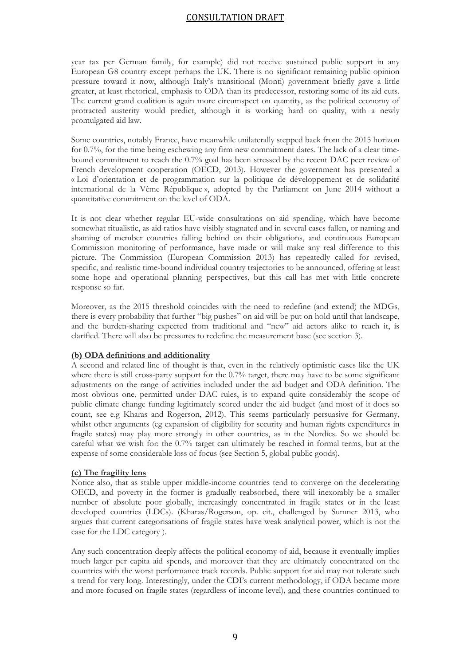year tax per German family, for example) did not receive sustained public support in any European G8 country except perhaps the UK. There is no significant remaining public opinion pressure toward it now, although Italy's transitional (Monti) government briefly gave a little greater, at least rhetorical, emphasis to ODA than its predecessor, restoring some of its aid cuts. The current grand coalition is again more circumspect on quantity, as the political economy of protracted austerity would predict, although it is working hard on quality, with a newly promulgated aid law.

Some countries, notably France, have meanwhile unilaterally stepped back from the 2015 horizon for 0.7%, for the time being eschewing any firm new commitment dates. The lack of a clear timebound commitment to reach the 0.7% goal has been stressed by the recent DAC peer review of French development cooperation (OECD, 2013). However the government has presented a « Loi d'orientation et de programmation sur la politique de développement et de solidarité international de la Vème République », adopted by the Parliament on June 2014 without a quantitative commitment on the level of ODA.

It is not clear whether regular EU-wide consultations on aid spending, which have become somewhat ritualistic, as aid ratios have visibly stagnated and in several cases fallen, or naming and shaming of member countries falling behind on their obligations, and continuous European Commission monitoring of performance, have made or will make any real difference to this picture. The Commission (European Commission 2013) has repeatedly called for revised, specific, and realistic time-bound individual country trajectories to be announced, offering at least some hope and operational planning perspectives, but this call has met with little concrete response so far.

Moreover, as the 2015 threshold coincides with the need to redefine (and extend) the MDGs, there is every probability that further "big pushes" on aid will be put on hold until that landscape, and the burden-sharing expected from traditional and "new" aid actors alike to reach it, is clarified. There will also be pressures to redefine the measurement base (see section 3).

#### **(b) ODA definitions and additionality**

A second and related line of thought is that, even in the relatively optimistic cases like the UK where there is still cross-party support for the 0.7% target, there may have to be some significant adjustments on the range of activities included under the aid budget and ODA definition. The most obvious one, permitted under DAC rules, is to expand quite considerably the scope of public climate change funding legitimately scored under the aid budget (and most of it does so count, see e.g Kharas and Rogerson, 2012). This seems particularly persuasive for Germany, whilst other arguments (eg expansion of eligibility for security and human rights expenditures in fragile states) may play more strongly in other countries, as in the Nordics. So we should be careful what we wish for: the 0.7% target can ultimately be reached in formal terms, but at the expense of some considerable loss of focus (see Section 5, global public goods).

#### **(c) The fragility lens**

Notice also, that as stable upper middle-income countries tend to converge on the decelerating OECD, and poverty in the former is gradually reabsorbed, there will inexorably be a smaller number of absolute poor globally, increasingly concentrated in fragile states or in the least developed countries (LDCs). (Kharas/Rogerson, op. cit., challenged by Sumner 2013, who argues that current categorisations of fragile states have weak analytical power, which is not the case for the LDC category ).

Any such concentration deeply affects the political economy of aid, because it eventually implies much larger per capita aid spends, and moreover that they are ultimately concentrated on the countries with the worst performance track records. Public support for aid may not tolerate such a trend for very long. Interestingly, under the CDI's current methodology, if ODA became more and more focused on fragile states (regardless of income level), and these countries continued to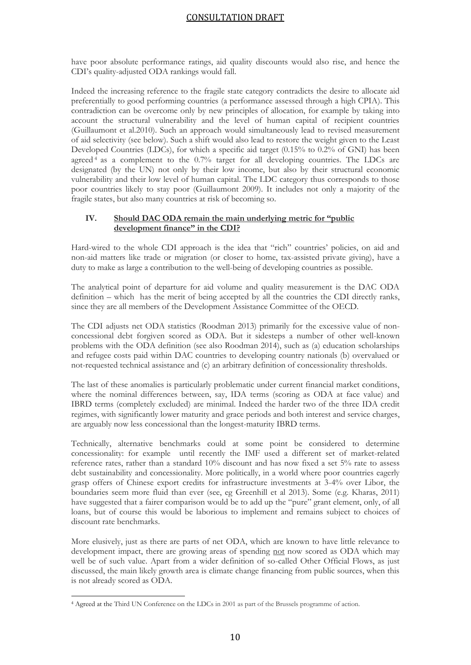have poor absolute performance ratings, aid quality discounts would also rise, and hence the CDI's quality-adjusted ODA rankings would fall.

Indeed the increasing reference to the fragile state category contradicts the desire to allocate aid preferentially to good performing countries (a performance assessed through a high CPIA). This contradiction can be overcome only by new principles of allocation, for example by taking into account the structural vulnerability and the level of human capital of recipient countries (Guillaumont et al.2010). Such an approach would simultaneously lead to revised measurement of aid selectivity (see below). Such a shift would also lead to restore the weight given to the Least Developed Countries (LDCs), for which a specific aid target (0.15% to 0.2% of GNI) has been agreed  $4$  as a complement to the 0.7% target for all developing countries. The LDCs are designated (by the UN) not only by their low income, but also by their structural economic vulnerability and their low level of human capital. The LDC category thus corresponds to those poor countries likely to stay poor (Guillaumont 2009). It includes not only a majority of the fragile states, but also many countries at risk of becoming so.

#### **IV. Should DAC ODA remain the main underlying metric for "public development finance" in the CDI?**

Hard-wired to the whole CDI approach is the idea that "rich" countries' policies, on aid and non-aid matters like trade or migration (or closer to home, tax-assisted private giving), have a duty to make as large a contribution to the well-being of developing countries as possible.

The analytical point of departure for aid volume and quality measurement is the DAC ODA definition – which has the merit of being accepted by all the countries the CDI directly ranks, since they are all members of the Development Assistance Committee of the OECD.

The CDI adjusts net ODA statistics (Roodman 2013) primarily for the excessive value of nonconcessional debt forgiven scored as ODA. But it sidesteps a number of other well-known problems with the ODA definition (see also Roodman 2014), such as (a) education scholarships and refugee costs paid within DAC countries to developing country nationals (b) overvalued or not-requested technical assistance and (c) an arbitrary definition of concessionality thresholds.

The last of these anomalies is particularly problematic under current financial market conditions, where the nominal differences between, say, IDA terms (scoring as ODA at face value) and IBRD terms (completely excluded) are minimal. Indeed the harder two of the three IDA credit regimes, with significantly lower maturity and grace periods and both interest and service charges, are arguably now less concessional than the longest-maturity IBRD terms.

Technically, alternative benchmarks could at some point be considered to determine concessionality: for example until recently the IMF used a different set of market-related reference rates, rather than a standard 10% discount and has now fixed a set 5% rate to assess debt sustainability and concessionality. More politically, in a world where poor countries eagerly grasp offers of Chinese export credits for infrastructure investments at 3-4% over Libor, the boundaries seem more fluid than ever (see, eg Greenhill et al 2013). Some (e.g. Kharas, 2011) have suggested that a fairer comparison would be to add up the "pure" grant element, only, of all loans, but of course this would be laborious to implement and remains subject to choices of discount rate benchmarks.

More elusively, just as there are parts of net ODA, which are known to have little relevance to development impact, there are growing areas of spending not now scored as ODA which may well be of such value. Apart from a wider definition of so-called Other Official Flows, as just discussed, the main likely growth area is climate change financing from public sources, when this is not already scored as ODA.

 $\overline{\phantom{a}}$ 

<sup>4</sup> Agreed at the Third UN Conference on the LDCs in 2001 as part of the Brussels programme of action.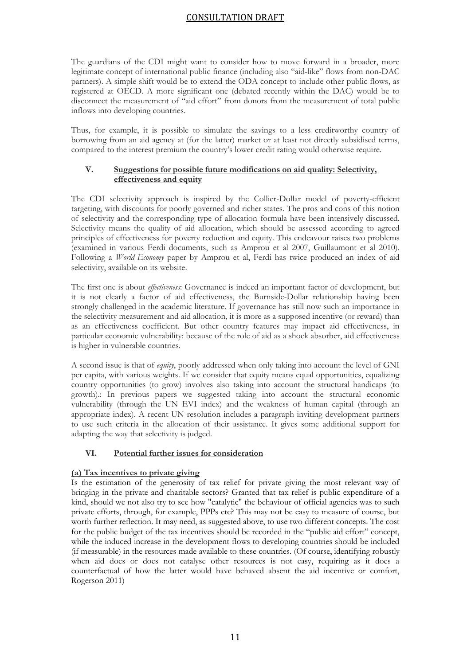The guardians of the CDI might want to consider how to move forward in a broader, more legitimate concept of international public finance (including also "aid-like" flows from non-DAC partners). A simple shift would be to extend the ODA concept to include other public flows, as registered at OECD. A more significant one (debated recently within the DAC) would be to disconnect the measurement of "aid effort" from donors from the measurement of total public inflows into developing countries.

Thus, for example, it is possible to simulate the savings to a less creditworthy country of borrowing from an aid agency at (for the latter) market or at least not directly subsidised terms, compared to the interest premium the country's lower credit rating would otherwise require.

## **V. Suggestions for possible future modifications on aid quality: Selectivity, effectiveness and equity**

The CDI selectivity approach is inspired by the Collier-Dollar model of poverty-efficient targeting, with discounts for poorly governed and richer states. The pros and cons of this notion of selectivity and the corresponding type of allocation formula have been intensively discussed. Selectivity means the quality of aid allocation, which should be assessed according to agreed principles of effectiveness for poverty reduction and equity. This endeavour raises two problems (examined in various Ferdi documents, such as Amprou et al 2007, Guillaumont et al 2010). Following a *World Economy* paper by Amprou et al, Ferdi has twice produced an index of aid selectivity, available on its website.

The first one is about *effectiveness*: Governance is indeed an important factor of development, but it is not clearly a factor of aid effectiveness, the Burnside-Dollar relationship having been strongly challenged in the academic literature. If governance has still now such an importance in the selectivity measurement and aid allocation, it is more as a supposed incentive (or reward) than as an effectiveness coefficient. But other country features may impact aid effectiveness, in particular economic vulnerability: because of the role of aid as a shock absorber, aid effectiveness is higher in vulnerable countries.

A second issue is that of *equity*, poorly addressed when only taking into account the level of GNI per capita, with various weights. If we consider that equity means equal opportunities, equalizing country opportunities (to grow) involves also taking into account the structural handicaps (to growth).: In previous papers we suggested taking into account the structural economic vulnerability (through the UN EVI index) and the weakness of human capital (through an appropriate index). A recent UN resolution includes a paragraph inviting development partners to use such criteria in the allocation of their assistance. It gives some additional support for adapting the way that selectivity is judged.

# **VI. Potential further issues for consideration**

#### **(a) Tax incentives to private giving**

Is the estimation of the generosity of tax relief for private giving the most relevant way of bringing in the private and charitable sectors? Granted that tax relief is public expenditure of a kind, should we not also try to see how "catalytic" the behaviour of official agencies was to such private efforts, through, for example, PPPs etc? This may not be easy to measure of course, but worth further reflection. It may need, as suggested above, to use two different concepts. The cost for the public budget of the tax incentives should be recorded in the "public aid effort" concept, while the induced increase in the development flows to developing countries should be included (if measurable) in the resources made available to these countries. (Of course, identifying robustly when aid does or does not catalyse other resources is not easy, requiring as it does a counterfactual of how the latter would have behaved absent the aid incentive or comfort, Rogerson 2011)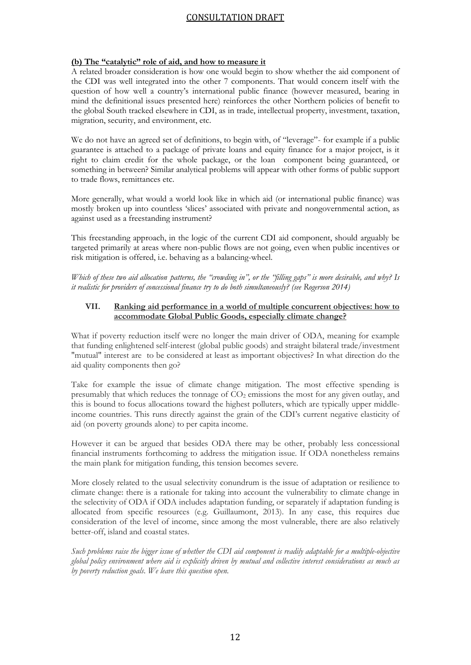#### **(b) The "catalytic" role of aid, and how to measure it**

A related broader consideration is how one would begin to show whether the aid component of the CDI was well integrated into the other 7 components. That would concern itself with the question of how well a country's international public finance (however measured, bearing in mind the definitional issues presented here) reinforces the other Northern policies of benefit to the global South tracked elsewhere in CDI, as in trade, intellectual property, investment, taxation, migration, security, and environment, etc.

We do not have an agreed set of definitions, to begin with, of "leverage"- for example if a public guarantee is attached to a package of private loans and equity finance for a major project, is it right to claim credit for the whole package, or the loan component being guaranteed, or something in between? Similar analytical problems will appear with other forms of public support to trade flows, remittances etc.

More generally, what would a world look like in which aid (or international public finance) was mostly broken up into countless 'slices' associated with private and nongovernmental action, as against used as a freestanding instrument?

This freestanding approach, in the logic of the current CDI aid component, should arguably be targeted primarily at areas where non-public flows are not going, even when public incentives or risk mitigation is offered, i.e. behaving as a balancing-wheel.

*Which of these two aid allocation patterns, the "crowding in", or the "filling gaps" is more desirable, and why? Is it realistic for providers of concessional finance try to do both simultaneously? (see Rogerson 2014)*

#### **VII. Ranking aid performance in a world of multiple concurrent objectives: how to accommodate Global Public Goods, especially climate change?**

What if poverty reduction itself were no longer the main driver of ODA, meaning for example that funding enlightened self-interest (global public goods) and straight bilateral trade/investment "mutual" interest are to be considered at least as important objectives? In what direction do the aid quality components then go?

Take for example the issue of climate change mitigation. The most effective spending is presumably that which reduces the tonnage of  $CO<sub>2</sub>$  emissions the most for any given outlay, and this is bound to focus allocations toward the highest polluters, which are typically upper middleincome countries. This runs directly against the grain of the CDI's current negative elasticity of aid (on poverty grounds alone) to per capita income.

However it can be argued that besides ODA there may be other, probably less concessional financial instruments forthcoming to address the mitigation issue. If ODA nonetheless remains the main plank for mitigation funding, this tension becomes severe.

More closely related to the usual selectivity conundrum is the issue of adaptation or resilience to climate change: there is a rationale for taking into account the vulnerability to climate change in the selectivity of ODA if ODA includes adaptation funding, or separately if adaptation funding is allocated from specific resources (e.g. Guillaumont, 2013). In any case, this requires due consideration of the level of income, since among the most vulnerable, there are also relatively better-off, island and coastal states.

*Such problems raise the bigger issue of whether the CDI aid component is readily adaptable for a multiple-objective global policy environment where aid is explicitly driven by mutual and collective interest considerations as much as by poverty reduction goals*. *We leave this question open.*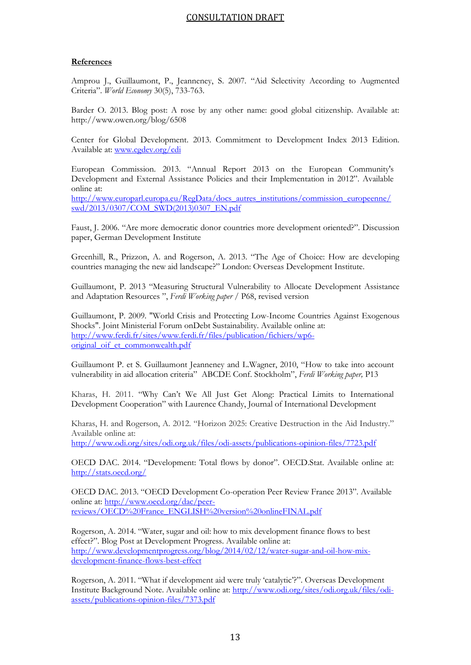#### **References**

Amprou J., Guillaumont, P., Jeanneney, S. 2007. "Aid Selectivity According to Augmented Criteria". *World Economy* 30(5), 733-763.

Barder O. 2013. Blog post: A rose by any other name: good global citizenship. Available at: http://www.owen.org/blog/6508

Center for Global Development. 2013. Commitment to Development Index 2013 Edition. Available at: [www.cgdev.org/cdi](http://www.cgdev.org/cdi)

European Commission. 2013. "Annual Report 2013 on the European Community's Development and External Assistance Policies and their Implementation in 2012". Available online at:

[http://www.europarl.europa.eu/RegData/docs\\_autres\\_institutions/commission\\_europeenne/](http://www.europarl.europa.eu/RegData/docs_autres_institutions/commission_europeenne/swd/2013/0307/COM_SWD(2013)0307_EN.pdf) [swd/2013/0307/COM\\_SWD\(2013\)0307\\_EN.pdf](http://www.europarl.europa.eu/RegData/docs_autres_institutions/commission_europeenne/swd/2013/0307/COM_SWD(2013)0307_EN.pdf)

Faust, J. 2006. "Are more democratic donor countries more development oriented?". Discussion paper, German Development Institute

Greenhill, R., Prizzon, A. and Rogerson, A. 2013. "The Age of Choice: How are developing countries managing the new aid landscape?" London: Overseas Development Institute.

Guillaumont, P. 2013 "Measuring Structural Vulnerability to Allocate Development Assistance and Adaptation Resources ", *Ferdi Working paper* / P68, revised version

Guillaumont, P. 2009. "World Crisis and Protecting Low-Income Countries Against Exogenous Shocks". Joint Ministerial Forum onDebt Sustainability. Available online at: [http://www.ferdi.fr/sites/www.ferdi.fr/files/publication/fichiers/wp6](http://www.ferdi.fr/sites/www.ferdi.fr/files/publication/fichiers/wp6-original_oif_et_commonwealth.pdf) [original\\_oif\\_et\\_commonwealth.pdf](http://www.ferdi.fr/sites/www.ferdi.fr/files/publication/fichiers/wp6-original_oif_et_commonwealth.pdf)

Guillaumont P. et S. Guillaumont Jeanneney and L.Wagner, 2010, "How to take into account vulnerability in aid allocation criteria" ABCDE Conf. Stockholm", *Ferdi Working paper,* P13

Kharas, H. 2011. "Why Can't We All Just Get Along: Practical Limits to International Development Cooperation" with Laurence Chandy, Journal of International Development

Kharas, H. and Rogerson, A. 2012. "Horizon 2025: Creative Destruction in the Aid Industry." Available online at:

<http://www.odi.org/sites/odi.org.uk/files/odi-assets/publications-opinion-files/7723.pdf>

OECD DAC. 2014. "Development: Total flows by donor". OECD.Stat. Available online at: <http://stats.oecd.org/>

OECD DAC. 2013. "OECD Development Co-operation Peer Review France 2013". Available online at: [http://www.oecd.org/dac/peer](http://www.oecd.org/dac/peer-reviews/OECD%20France_ENGLISH%20version%20onlineFINAL.pdf)[reviews/OECD%20France\\_ENGLISH%20version%20onlineFINAL.pdf](http://www.oecd.org/dac/peer-reviews/OECD%20France_ENGLISH%20version%20onlineFINAL.pdf)

Rogerson, A. 2014. "Water, sugar and oil: how to mix development finance flows to best effect?". Blog Post at Development Progress. Available online at: [http://www.developmentprogress.org/blog/2014/02/12/water-sugar-and-oil-how-mix](http://www.developmentprogress.org/blog/2014/02/12/water-sugar-and-oil-how-mix-development-finance-flows-best-effect)[development-finance-flows-best-effect](http://www.developmentprogress.org/blog/2014/02/12/water-sugar-and-oil-how-mix-development-finance-flows-best-effect)

Rogerson, A. 2011. "What if development aid were truly 'catalytic'?". Overseas Development Institute Background Note. Available online at: [http://www.odi.org/sites/odi.org.uk/files/odi](http://www.odi.org/sites/odi.org.uk/files/odi-assets/publications-opinion-files/7373.pdf)[assets/publications-opinion-files/7373.pdf](http://www.odi.org/sites/odi.org.uk/files/odi-assets/publications-opinion-files/7373.pdf)